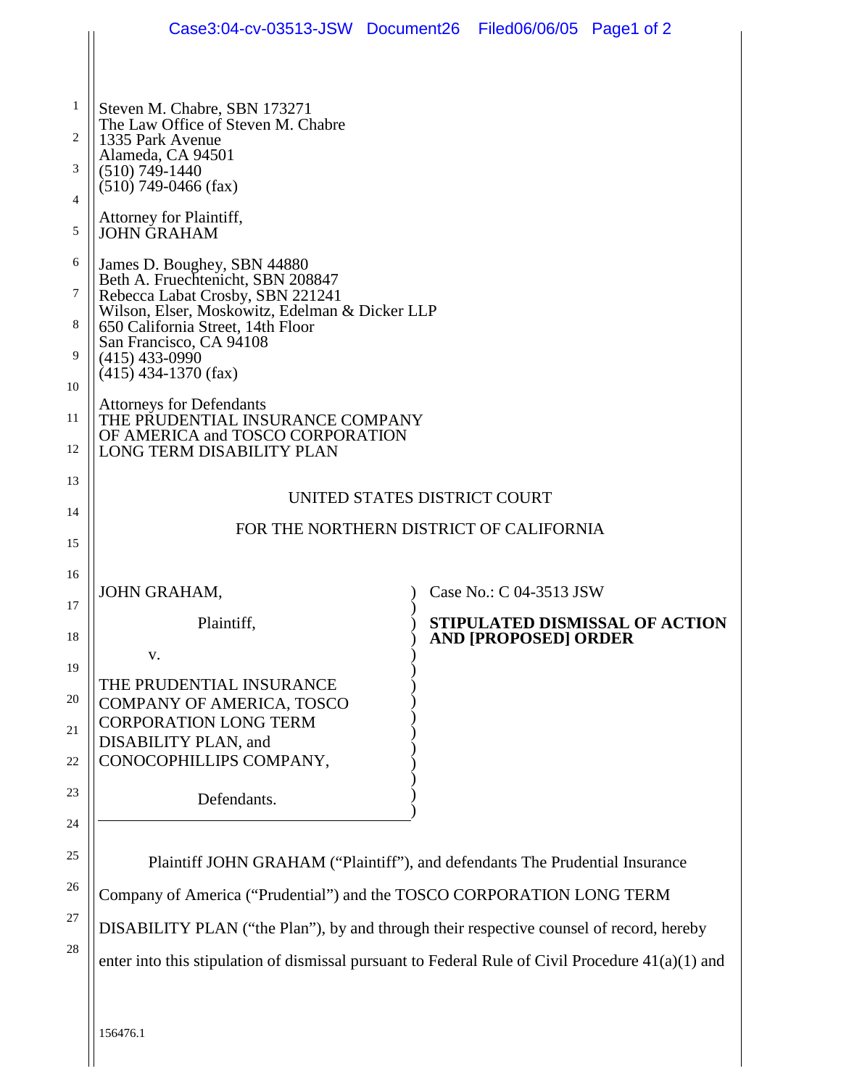|                                                                                      | Case3:04-cv-03513-JSW Document26 Filed06/06/05 Page1 of 2                                                                                                                                                                                                                                                                                                                                                                                                                                                                                                                                                                                                               |                                                                                         |                             |                                |  |
|--------------------------------------------------------------------------------------|-------------------------------------------------------------------------------------------------------------------------------------------------------------------------------------------------------------------------------------------------------------------------------------------------------------------------------------------------------------------------------------------------------------------------------------------------------------------------------------------------------------------------------------------------------------------------------------------------------------------------------------------------------------------------|-----------------------------------------------------------------------------------------|-----------------------------|--------------------------------|--|
| 1<br>2<br>3<br>$\overline{4}$<br>5<br>6<br>7<br>8<br>9<br>10<br>11<br>12<br>13<br>14 | Steven M. Chabre, SBN 173271<br>The Law Office of Steven M. Chabre<br>1335 Park Avenue<br>Alameda, CA 94501<br>$(510) 749 - 1440$<br>$(510)$ 749-0466 (fax)<br>Attorney for Plaintiff,<br><b>JOHN GRAHAM</b><br>James D. Boughey, SBN 44880<br>Beth A. Fruechtenicht, SBN 208847<br>Rebecca Labat Crosby, SBN 221241<br>Wilson, Elser, Moskowitz, Edelman & Dicker LLP<br>650 California Street, 14th Floor<br>San Francisco, CA 94108<br>$(415)$ 433-0990<br>$(415)$ 434-1370 (fax)<br><b>Attorneys for Defendants</b><br>THE PRUDENTIAL INSURANCE COMPANY<br>OF AMERICA and TOSCO CORPORATION<br>LONG TERM DISABILITY PLAN<br>FOR THE NORTHERN DISTRICT OF CALIFORNIA | UNITED STATES DISTRICT COURT                                                            |                             |                                |  |
| 15<br>16                                                                             |                                                                                                                                                                                                                                                                                                                                                                                                                                                                                                                                                                                                                                                                         |                                                                                         |                             |                                |  |
| 17                                                                                   | JOHN GRAHAM,                                                                                                                                                                                                                                                                                                                                                                                                                                                                                                                                                                                                                                                            |                                                                                         | Case No.: C 04-3513 JSW     |                                |  |
| 18                                                                                   | Plaintiff,                                                                                                                                                                                                                                                                                                                                                                                                                                                                                                                                                                                                                                                              |                                                                                         | <b>AND [PROPOSED] ORDER</b> | STIPULATED DISMISSAL OF ACTION |  |
| 19                                                                                   | V.                                                                                                                                                                                                                                                                                                                                                                                                                                                                                                                                                                                                                                                                      |                                                                                         |                             |                                |  |
| 20<br>21<br>$22\,$                                                                   | THE PRUDENTIAL INSURANCE<br>COMPANY OF AMERICA, TOSCO<br><b>CORPORATION LONG TERM</b><br>DISABILITY PLAN, and<br>CONOCOPHILLIPS COMPANY,                                                                                                                                                                                                                                                                                                                                                                                                                                                                                                                                |                                                                                         |                             |                                |  |
| 23                                                                                   | Defendants.                                                                                                                                                                                                                                                                                                                                                                                                                                                                                                                                                                                                                                                             |                                                                                         |                             |                                |  |
| 24                                                                                   |                                                                                                                                                                                                                                                                                                                                                                                                                                                                                                                                                                                                                                                                         |                                                                                         |                             |                                |  |
| 25                                                                                   | Plaintiff JOHN GRAHAM ("Plaintiff"), and defendants The Prudential Insurance                                                                                                                                                                                                                                                                                                                                                                                                                                                                                                                                                                                            |                                                                                         |                             |                                |  |
| 26                                                                                   | Company of America ("Prudential") and the TOSCO CORPORATION LONG TERM                                                                                                                                                                                                                                                                                                                                                                                                                                                                                                                                                                                                   |                                                                                         |                             |                                |  |
| 27                                                                                   |                                                                                                                                                                                                                                                                                                                                                                                                                                                                                                                                                                                                                                                                         | DISABILITY PLAN ("the Plan"), by and through their respective counsel of record, hereby |                             |                                |  |
| 28                                                                                   | enter into this stipulation of dismissal pursuant to Federal Rule of Civil Procedure $41(a)(1)$ and                                                                                                                                                                                                                                                                                                                                                                                                                                                                                                                                                                     |                                                                                         |                             |                                |  |
|                                                                                      |                                                                                                                                                                                                                                                                                                                                                                                                                                                                                                                                                                                                                                                                         |                                                                                         |                             |                                |  |

 $\Big\|$  156476.1